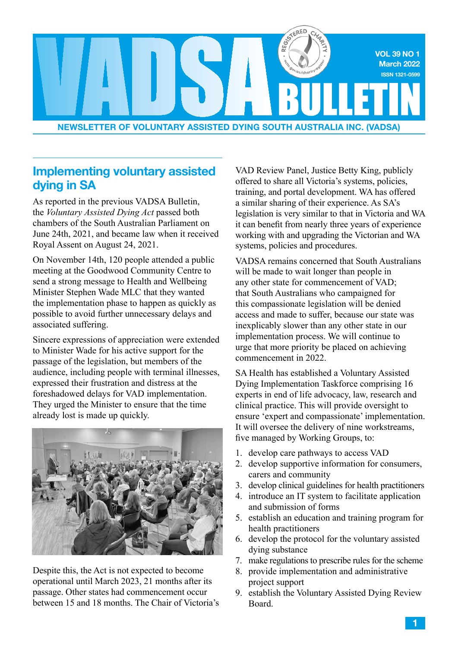

## Implementing voluntary assisted dying in SA

As reported in the previous VADSA Bulletin, the *Voluntary Assisted Dying Act* passed both chambers of the South Australian Parliament on June 24th, 2021, and became law when it received Royal Assent on August 24, 2021.

On November 14th, 120 people attended a public meeting at the Goodwood Community Centre to send a strong message to Health and Wellbeing Minister Stephen Wade MLC that they wanted the implementation phase to happen as quickly as possible to avoid further unnecessary delays and associated suffering.

Sincere expressions of appreciation were extended to Minister Wade for his active support for the passage of the legislation, but members of the audience, including people with terminal illnesses, expressed their frustration and distress at the foreshadowed delays for VAD implementation. They urged the Minister to ensure that the time already lost is made up quickly.



Despite this, the Act is not expected to become operational until March 2023, 21 months after its passage. Other states had commencement occur between 15 and 18 months. The Chair of Victoria's

VAD Review Panel, Justice Betty King, publicly offered to share all Victoria's systems, policies, training, and portal development. WA has offered a similar sharing of their experience. As SA's legislation is very similar to that in Victoria and WA it can benefit from nearly three years of experience working with and upgrading the Victorian and WA systems, policies and procedures.

VADSA remains concerned that South Australians will be made to wait longer than people in any other state for commencement of VAD; that South Australians who campaigned for this compassionate legislation will be denied access and made to suffer, because our state was inexplicably slower than any other state in our implementation process. We will continue to urge that more priority be placed on achieving commencement in 2022.

SA Health has established a Voluntary Assisted Dying Implementation Taskforce comprising 16 experts in end of life advocacy, law, research and clinical practice. This will provide oversight to ensure 'expert and compassionate' implementation. It will oversee the delivery of nine workstreams, five managed by Working Groups, to:

- 1. develop care pathways to access VAD
- 2. develop supportive information for consumers, carers and community
- 3. develop clinical guidelines for health practitioners
- 4. introduce an IT system to facilitate application and submission of forms
- 5. establish an education and training program for health practitioners
- 6. develop the protocol for the voluntary assisted dying substance
- 7. make regulations to prescribe rules for the scheme
- 8. provide implementation and administrative project support
- 9. establish the Voluntary Assisted Dying Review Board.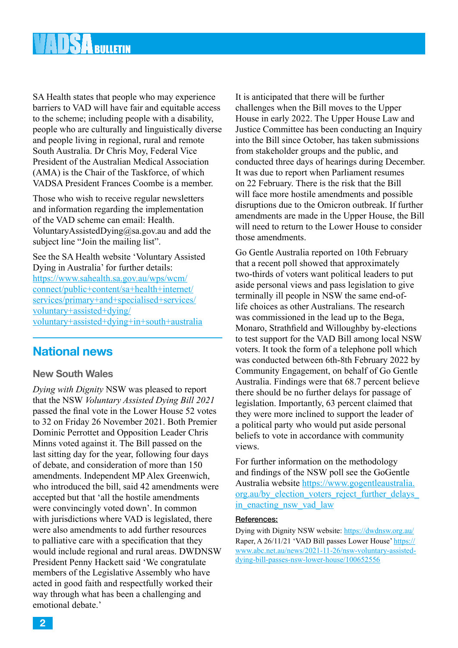SA Health states that people who may experience barriers to VAD will have fair and equitable access to the scheme; including people with a disability, people who are culturally and linguistically diverse and people living in regional, rural and remote South Australia. Dr Chris Moy, Federal Vice President of the Australian Medical Association (AMA) is the Chair of the Taskforce, of which VADSA President Frances Coombe is a member.

Those who wish to receive regular newsletters and information regarding the implementation of the VAD scheme can email: Health. VoluntaryAssistedDying@sa.gov.au and add the subject line "Join the mailing list".

See the SA Health website 'Voluntary Assisted Dying in Australia' for further details: https://www.sahealth.sa.gov.au/wps/wcm/ connect/public+content/sa+health+internet/ services/primary+and+specialised+services/ voluntary+assisted+dying/ voluntary+assisted+dying+in+south+australia

## National news

### New South Wales

*Dying with Dignity* NSW was pleased to report that the NSW *Voluntary Assisted Dying Bill 2021* passed the final vote in the Lower House 52 votes to 32 on Friday 26 November 2021. Both Premier Dominic Perrottet and Opposition Leader Chris Minns voted against it. The Bill passed on the last sitting day for the year, following four days of debate, and consideration of more than 150 amendments. Independent MP Alex Greenwich, who introduced the bill, said 42 amendments were accepted but that 'all the hostile amendments were convincingly voted down'. In common with jurisdictions where VAD is legislated, there were also amendments to add further resources to palliative care with a specification that they would include regional and rural areas. DWDNSW President Penny Hackett said 'We congratulate members of the Legislative Assembly who have acted in good faith and respectfully worked their way through what has been a challenging and emotional debate.'

It is anticipated that there will be further challenges when the Bill moves to the Upper House in early 2022. The Upper House Law and Justice Committee has been conducting an Inquiry into the Bill since October, has taken submissions from stakeholder groups and the public, and conducted three days of hearings during December. It was due to report when Parliament resumes on 22 February. There is the risk that the Bill will face more hostile amendments and possible disruptions due to the Omicron outbreak. If further amendments are made in the Upper House, the Bill will need to return to the Lower House to consider those amendments.

Go Gentle Australia reported on 10th February that a recent poll showed that approximately two-thirds of voters want political leaders to put aside personal views and pass legislation to give terminally ill people in NSW the same end-oflife choices as other Australians. The research was commissioned in the lead up to the Bega, Monaro, Strathfield and Willoughby by-elections to test support for the VAD Bill among local NSW voters. It took the form of a telephone poll which was conducted between 6th-8th February 2022 by Community Engagement, on behalf of Go Gentle Australia. Findings were that 68.7 percent believe there should be no further delays for passage of legislation. Importantly, 63 percent claimed that they were more inclined to support the leader of a political party who would put aside personal beliefs to vote in accordance with community views.

For further information on the methodology and findings of the NSW poll see the GoGentle Australia website https://www.gogentleaustralia. org.au/by election voters reject further delays in enacting nsw vad law

### References:

Dying with Dignity NSW website: https://dwdnsw.org.au/ Raper, A 26/11/21 'VAD Bill passes Lower House' https:// www.abc.net.au/news/2021-11-26/nsw-voluntary-assisteddying-bill-passes-nsw-lower-house/100652556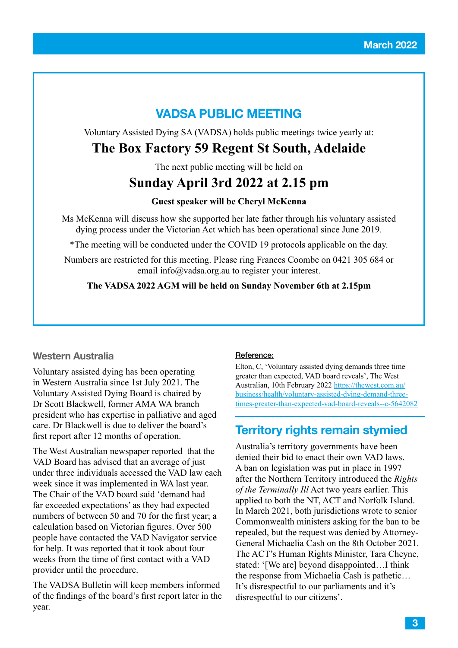### VADSA PUBLIC MEETING

Voluntary Assisted Dying SA (VADSA) holds public meetings twice yearly at:

# **The Box Factory 59 Regent St South, Adelaide**

The next public meeting will be held on

# **Sunday April 3rd 2022 at 2.15 pm**

### **Guest speaker will be Cheryl McKenna**

Ms McKenna will discuss how she supported her late father through his voluntary assisted dying process under the Victorian Act which has been operational since June 2019.

\*The meeting will be conducted under the COVID 19 protocols applicable on the day.

Numbers are restricted for this meeting. Please ring Frances Coombe on 0421 305 684 or email info@vadsa.org.au to register your interest.

**The VADSA 2022 AGM will be held on Sunday November 6th at 2.15pm**

### Western Australia

Voluntary assisted dying has been operating in Western Australia since 1st July 2021. The Voluntary Assisted Dying Board is chaired by Dr Scott Blackwell, former AMA WA branch president who has expertise in palliative and aged care. Dr Blackwell is due to deliver the board's first report after 12 months of operation.

The West Australian newspaper reported that the VAD Board has advised that an average of just under three individuals accessed the VAD law each week since it was implemented in WA last year. The Chair of the VAD board said 'demand had far exceeded expectations' as they had expected numbers of between 50 and 70 for the first year; a calculation based on Victorian figures. Over 500 people have contacted the VAD Navigator service for help. It was reported that it took about four weeks from the time of first contact with a VAD provider until the procedure.

The VADSA Bulletin will keep members informed of the findings of the board's first report later in the year.

#### Reference:

Elton, C, 'Voluntary assisted dying demands three time greater than expected, VAD board reveals', The West Australian, 10th February 2022 https://thewest.com.au/ business/health/voluntary-assisted-dying-demand-threetimes-greater-than-expected-vad-board-reveals--c-5642082

### Territory rights remain stymied

Australia's territory governments have been denied their bid to enact their own VAD laws. A ban on legislation was put in place in 1997 after the Northern Territory introduced the *Rights of the Terminally Ill* Act two years earlier. This applied to both the NT, ACT and Norfolk Island. In March 2021, both jurisdictions wrote to senior Commonwealth ministers asking for the ban to be repealed, but the request was denied by Attorney-General Michaelia Cash on the 8th October 2021. The ACT's Human Rights Minister, Tara Cheyne, stated: '[We are] beyond disappointed…I think the response from Michaelia Cash is pathetic… It's disrespectful to our parliaments and it's disrespectful to our citizens'.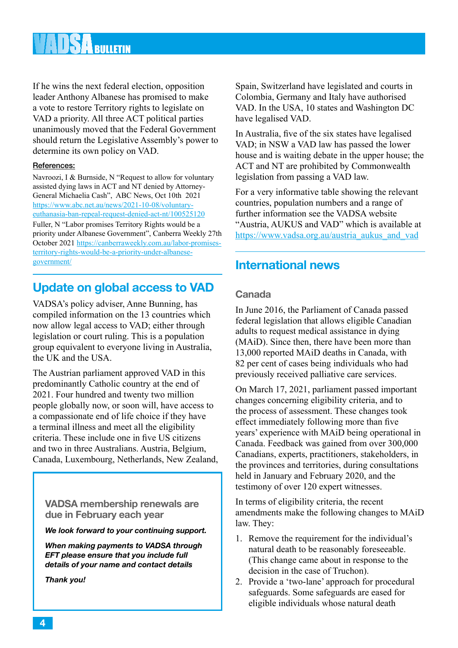# **ADSA BULLETIN**

If he wins the next federal election, opposition leader Anthony Albanese has promised to make a vote to restore Territory rights to legislate on VAD a priority. All three ACT political parties unanimously moved that the Federal Government should return the Legislative Assembly's power to determine its own policy on VAD.

### References:

Navroozi, I & Burnside, N "Request to allow for voluntary assisted dying laws in ACT and NT denied by Attorney-General Michaelia Cash", ABC News, Oct 10th 2021 https://www.abc.net.au/news/2021-10-08/voluntaryeuthanasia-ban-repeal-request-denied-act-nt/100525120 Fuller, N "Labor promises Territory Rights would be a priority under Albanese Government", Canberra Weekly 27th October 2021 https://canberraweekly.com.au/labor-promisesterritory-rights-would-be-a-priority-under-albanesegovernment/

# Update on global access to VAD

VADSA's policy adviser, Anne Bunning, has compiled information on the 13 countries which now allow legal access to VAD; either through legislation or court ruling. This is a population group equivalent to everyone living in Australia, the UK and the USA.

The Austrian parliament approved VAD in this predominantly Catholic country at the end of 2021. Four hundred and twenty two million people globally now, or soon will, have access to a compassionate end of life choice if they have a terminal illness and meet all the eligibility criteria. These include one in five US citizens and two in three Australians. Austria, Belgium, Canada, Luxembourg, Netherlands, New Zealand,

VADSA membership renewals are due in February each year

We look forward to your continuing support.

When making payments to VADSA through EFT please ensure that you include full details of your name and contact details

Thank you!

Spain, Switzerland have legislated and courts in Colombia, Germany and Italy have authorised VAD. In the USA, 10 states and Washington DC have legalised VAD.

In Australia, five of the six states have legalised VAD; in NSW a VAD law has passed the lower house and is waiting debate in the upper house; the ACT and NT are prohibited by Commonwealth legislation from passing a VAD law.

For a very informative table showing the relevant countries, population numbers and a range of further information see the VADSA website "Austria, AUKUS and VAD" which is available at https://www.vadsa.org.au/austria\_aukus\_and\_vad

## International news

### Canada

In June 2016, the Parliament of Canada passed federal legislation that allows eligible Canadian adults to request medical assistance in dying (MAiD). Since then, there have been more than 13,000 reported MAiD deaths in Canada, with 82 per cent of cases being individuals who had previously received palliative care services.

On March 17, 2021, parliament passed important changes concerning eligibility criteria, and to the process of assessment. These changes took effect immediately following more than five years' experience with MAiD being operational in Canada. Feedback was gained from over 300,000 Canadians, experts, practitioners, stakeholders, in the provinces and territories, during consultations held in January and February 2020, and the testimony of over 120 expert witnesses.

In terms of eligibility criteria, the recent amendments make the following changes to MAiD law. They:

- 1. Remove the requirement for the individual's natural death to be reasonably foreseeable. (This change came about in response to the decision in the case of Truchon).
- 2. Provide a 'two-lane' approach for procedural safeguards. Some safeguards are eased for eligible individuals whose natural death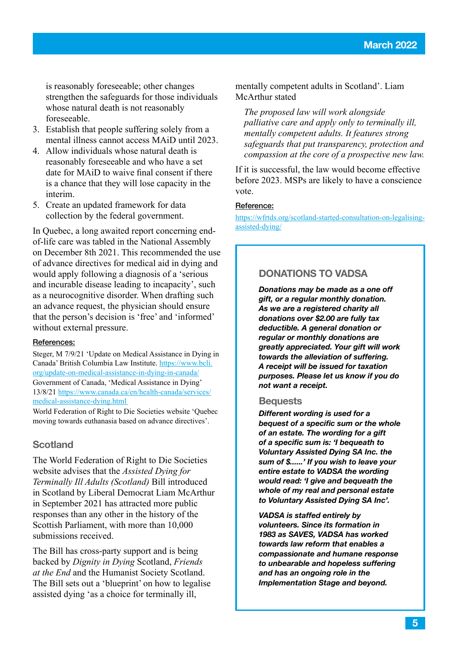is reasonably foreseeable; other changes strengthen the safeguards for those individuals whose natural death is not reasonably foreseeable.

- 3. Establish that people suffering solely from a mental illness cannot access MAiD until 2023.
- 4. Allow individuals whose natural death is reasonably foreseeable and who have a set date for MAiD to waive final consent if there is a chance that they will lose capacity in the interim.
- 5. Create an updated framework for data collection by the federal government.

In Quebec, a long awaited report concerning endof-life care was tabled in the National Assembly on December 8th 2021. This recommended the use of advance directives for medical aid in dying and would apply following a diagnosis of a 'serious and incurable disease leading to incapacity', such as a neurocognitive disorder. When drafting such an advance request, the physician should ensure that the person's decision is 'free' and 'informed' without external pressure.

#### References:

Steger, M 7/9/21 'Update on Medical Assistance in Dying in Canada' British Columbia Law Institute. https://www.bcli. org/update-on-medical-assistance-in-dying-in-canada/ Government of Canada, 'Medical Assistance in Dying' 13/8/21 https://www.canada.ca/en/health-canada/services/ medical-assistance-dying.html

World Federation of Right to Die Societies website 'Quebec moving towards euthanasia based on advance directives'.

### **Scotland**

The World Federation of Right to Die Societies website advises that the *Assisted Dying for Terminally Ill Adults (Scotland)* Bill introduced in Scotland by Liberal Democrat Liam McArthur in September 2021 has attracted more public responses than any other in the history of the Scottish Parliament, with more than 10,000 submissions received.

The Bill has cross-party support and is being backed by *Dignity in Dying* Scotland, *Friends at the End* and the Humanist Society Scotland. The Bill sets out a 'blueprint' on how to legalise assisted dying 'as a choice for terminally ill,

mentally competent adults in Scotland'. Liam McArthur stated

*The proposed law will work alongside palliative care and apply only to terminally ill, mentally competent adults. It features strong safeguards that put transparency, protection and compassion at the core of a prospective new law.* 

If it is successful, the law would become effective before 2023. MSPs are likely to have a conscience vote.

#### Reference:

https://wfrtds.org/scotland-started-consultation-on-legalisingassisted-dying/

### DONATIONS TO VADSA

Donations may be made as a one off gift, or a regular monthly donation. As we are a registered charity all donations over \$2.00 are fully tax deductible. A general donation or regular or monthly donations are greatly appreciated. Your gift will work towards the alleviation of suffering. A receipt will be issued for taxation purposes. Please let us know if you do not want a receipt.

#### **Bequests**

Different wording is used for a bequest of a specific sum or the whole of an estate. The wording for a gift of a specific sum is: 'I bequeath to Voluntary Assisted Dying SA Inc. the sum of \$......' If you wish to leave your entire estate to VADSA the wording would read: 'I give and bequeath the whole of my real and personal estate to Voluntary Assisted Dying SA Inc'.

VADSA is staffed entirely by volunteers. Since its formation in 1983 as SAVES, VADSA has worked towards law reform that enables a compassionate and humane response to unbearable and hopeless suffering and has an ongoing role in the Implementation Stage and beyond.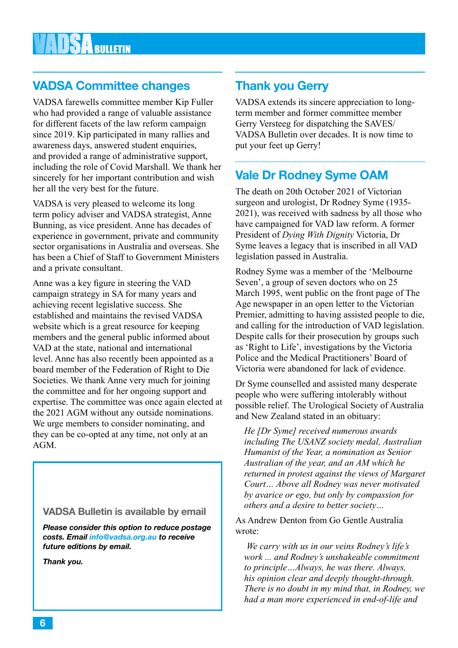# VADSA Committee changes

VADSA farewells committee member Kip Fuller who had provided a range of valuable assistance for different facets of the law reform campaign since 2019. Kip participated in many rallies and awareness days, answered student enquiries, and provided a range of administrative support, including the role of Covid Marshall. We thank her sincerely for her important contribution and wish her all the very best for the future.

VADSA is very pleased to welcome its long term policy adviser and VADSA strategist, Anne Bunning, as vice president. Anne has decades of experience in government, private and community sector organisations in Australia and overseas. She has been a Chief of Staff to Government Ministers and a private consultant.

Anne was a key figure in steering the VAD campaign strategy in SA for many years and achieving recent legislative success. She established and maintains the revised VADSA website which is a great resource for keeping members and the general public informed about VAD at the state, national and international level. Anne has also recently been appointed as a board member of the Federation of Right to Die Societies. We thank Anne very much for joining the committee and for her ongoing support and expertise. The committee was once again elected at the 2021 AGM without any outside nominations. We urge members to consider nominating, and they can be co-opted at any time, not only at an AGM.

### VADSA Bulletin is available by email

Please consider this option to reduce postage costs. Email info@vadsa.org.au to receive future editions by email.

Thank you.

## Thank you Gerry

VADSA extends its sincere appreciation to longterm member and former committee member Gerry Versteeg for dispatching the SAVES/ VADSA Bulletin over decades. It is now time to put your feet up Gerry!

# Vale Dr Rodney Syme OAM

The death on 20th October 2021 of Victorian surgeon and urologist, Dr Rodney Syme (1935- 2021), was received with sadness by all those who have campaigned for VAD law reform. A former President of *Dying With Dignity* Victoria, Dr Syme leaves a legacy that is inscribed in all VAD legislation passed in Australia.

Rodney Syme was a member of the 'Melbourne Seven', a group of seven doctors who on 25 March 1995, went public on the front page of The Age newspaper in an open letter to the Victorian Premier, admitting to having assisted people to die, and calling for the introduction of VAD legislation. Despite calls for their prosecution by groups such as 'Right to Life', investigations by the Victoria Police and the Medical Practitioners' Board of Victoria were abandoned for lack of evidence.

Dr Syme counselled and assisted many desperate people who were suffering intolerably without possible relief. The Urological Society of Australia and New Zealand stated in an obituary:

*He [Dr Syme] received numerous awards including The USANZ society medal, Australian Humanist of the Year, a nomination as Senior Australian of the year, and an AM which he returned in protest against the views of Margaret Court… Above all Rodney was never motivated by avarice or ego, but only by compassion for others and a desire to better society…*

As Andrew Denton from Go Gentle Australia wrote:

 *We carry with us in our veins Rodney's life's work ... and Rodney's unshakeable commitment to principle…Always, he was there. Always, his opinion clear and deeply thought-through. There is no doubt in my mind that, in Rodney, we had a man more experienced in end-of-life and*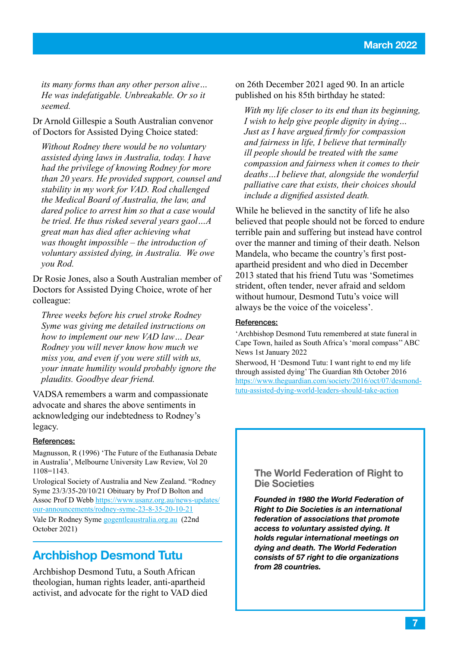*its many forms than any other person alive… He was indefatigable. Unbreakable. Or so it seemed.*

Dr Arnold Gillespie a South Australian convenor of Doctors for Assisted Dying Choice stated:

*Without Rodney there would be no voluntary assisted dying laws in Australia, today. I have had the privilege of knowing Rodney for more than 20 years. He provided support, counsel and stability in my work for VAD. Rod challenged the Medical Board of Australia, the law, and dared police to arrest him so that a case would be tried. He thus risked several years gaol…A great man has died after achieving what was thought impossible – the introduction of voluntary assisted dying, in Australia. We owe you Rod.*

Dr Rosie Jones, also a South Australian member of Doctors for Assisted Dying Choice, wrote of her colleague:

*Three weeks before his cruel stroke Rodney Syme was giving me detailed instructions on how to implement our new VAD law… Dear Rodney you will never know how much we miss you, and even if you were still with us, your innate humility would probably ignore the plaudits. Goodbye dear friend.* 

VADSA remembers a warm and compassionate advocate and shares the above sentiments in acknowledging our indebtedness to Rodney's legacy.

#### References:

Magnusson, R (1996) 'The Future of the Euthanasia Debate in Australia', Melbourne University Law Review, Vol 20 1108=1143.

Urological Society of Australia and New Zealand. "Rodney Syme 23/3/35-20/10/21 Obituary by Prof D Bolton and Assoc Prof D Webb https://www.usanz.org.au/news-updates/ our-announcements/rodney-syme-23-8-35-20-10-21 Vale Dr Rodney Syme gogentleaustralia.org.au (22nd October 2021)

### Archbishop Desmond Tutu

Archbishop Desmond Tutu, a South African theologian, human rights leader, anti-apartheid activist, and advocate for the right to VAD died on 26th December 2021 aged 90. In an article published on his 85th birthday he stated:

*With my life closer to its end than its beginning, I wish to help give people dignity in dying… Just as I have argued firmly for compassion and fairness in life, I believe that terminally ill people should be treated with the same compassion and fairness when it comes to their deaths…I believe that, alongside the wonderful palliative care that exists, their choices should include a dignified assisted death.*

While he believed in the sanctity of life he also believed that people should not be forced to endure terrible pain and suffering but instead have control over the manner and timing of their death. Nelson Mandela, who became the country's first postapartheid president and who died in December 2013 stated that his friend Tutu was 'Sometimes strident, often tender, never afraid and seldom without humour, Desmond Tutu's voice will always be the voice of the voiceless'.

#### References:

'Archbishop Desmond Tutu remembered at state funeral in Cape Town, hailed as South Africa's 'moral compass'' ABC News 1st January 2022

Sherwood, H 'Desmond Tutu: I want right to end my life through assisted dying' The Guardian 8th October 2016 https://www.theguardian.com/society/2016/oct/07/desmondtutu-assisted-dying-world-leaders-should-take-action

The World Federation of Right to Die Societies

Founded in 1980 the World Federation of Right to Die Societies is an international federation of associations that promote access to voluntary assisted dying. It holds regular international meetings on dying and death. The World Federation consists of 57 right to die organizations from 28 countries.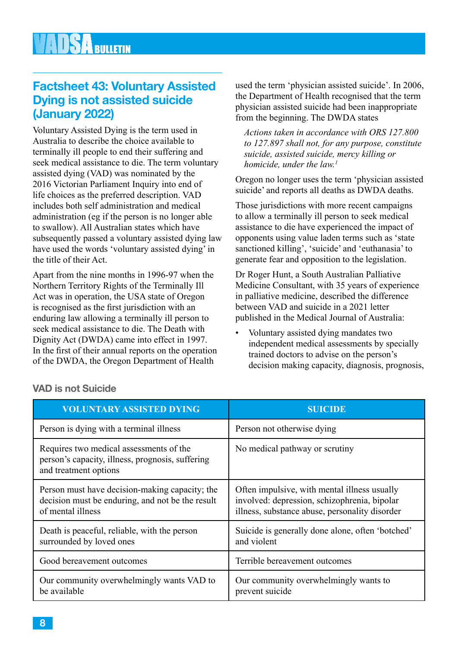## Factsheet 43: Voluntary Assisted Dying is not assisted suicide (January 2022)

Voluntary Assisted Dying is the term used in Australia to describe the choice available to terminally ill people to end their suffering and seek medical assistance to die. The term voluntary assisted dying (VAD) was nominated by the 2016 Victorian Parliament Inquiry into end of life choices as the preferred description. VAD includes both self administration and medical administration (eg if the person is no longer able to swallow). All Australian states which have subsequently passed a voluntary assisted dying law have used the words 'voluntary assisted dying' in the title of their Act.

Apart from the nine months in 1996-97 when the Northern Territory Rights of the Terminally Ill Act was in operation, the USA state of Oregon is recognised as the first jurisdiction with an enduring law allowing a terminally ill person to seek medical assistance to die. The Death with Dignity Act (DWDA) came into effect in 1997. In the first of their annual reports on the operation of the DWDA, the Oregon Department of Health

used the term 'physician assisted suicide'. In 2006, the Department of Health recognised that the term physician assisted suicide had been inappropriate from the beginning. The DWDA states

*Actions taken in accordance with ORS 127.800 to 127.897 shall not, for any purpose, constitute suicide, assisted suicide, mercy killing or homicide, under the law.1*

Oregon no longer uses the term 'physician assisted suicide' and reports all deaths as DWDA deaths.

Those jurisdictions with more recent campaigns to allow a terminally ill person to seek medical assistance to die have experienced the impact of opponents using value laden terms such as 'state sanctioned killing', 'suicide' and 'euthanasia' to generate fear and opposition to the legislation.

Dr Roger Hunt, a South Australian Palliative Medicine Consultant, with 35 years of experience in palliative medicine, described the difference between VAD and suicide in a 2021 letter published in the Medical Journal of Australia:

• Voluntary assisted dying mandates two independent medical assessments by specially trained doctors to advise on the person's decision making capacity, diagnosis, prognosis,

| <b>VOLUNTARY ASSISTED DYING</b>                                                                                         | <b>SUICIDE</b>                                                                                                                                 |
|-------------------------------------------------------------------------------------------------------------------------|------------------------------------------------------------------------------------------------------------------------------------------------|
| Person is dying with a terminal illness                                                                                 | Person not otherwise dying                                                                                                                     |
| Requires two medical assessments of the<br>person's capacity, illness, prognosis, suffering<br>and treatment options    | No medical pathway or scrutiny                                                                                                                 |
| Person must have decision-making capacity; the<br>decision must be enduring, and not be the result<br>of mental illness | Often impulsive, with mental illness usually<br>involved: depression, schizophrenia, bipolar<br>illness, substance abuse, personality disorder |
| Death is peaceful, reliable, with the person<br>surrounded by loved ones                                                | Suicide is generally done alone, often 'botched'<br>and violent                                                                                |
| Good bereavement outcomes                                                                                               | Terrible bereavement outcomes                                                                                                                  |
| Our community overwhelmingly wants VAD to<br>be available                                                               | Our community overwhelmingly wants to<br>prevent suicide                                                                                       |

### VAD is not Suicide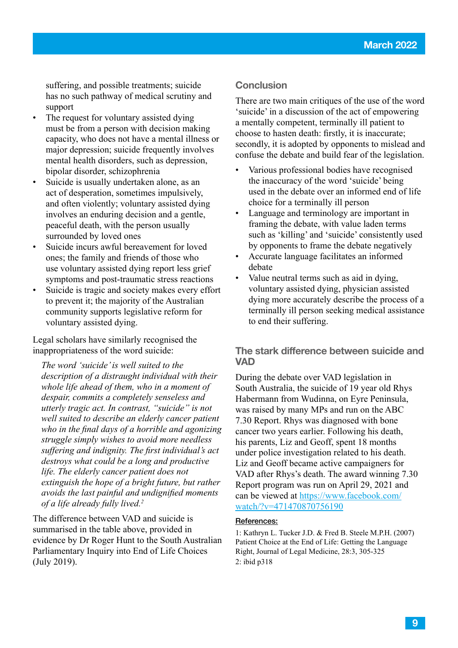suffering, and possible treatments; suicide has no such pathway of medical scrutiny and support

- The request for voluntary assisted dying must be from a person with decision making capacity, who does not have a mental illness or major depression; suicide frequently involves mental health disorders, such as depression, bipolar disorder, schizophrenia
- Suicide is usually undertaken alone, as an act of desperation, sometimes impulsively, and often violently; voluntary assisted dying involves an enduring decision and a gentle, peaceful death, with the person usually surrounded by loved ones
- Suicide incurs awful bereavement for loved ones; the family and friends of those who use voluntary assisted dying report less grief symptoms and post-traumatic stress reactions
- Suicide is tragic and society makes every effort to prevent it; the majority of the Australian community supports legislative reform for voluntary assisted dying.

Legal scholars have similarly recognised the inappropriateness of the word suicide:

*The word 'suicide' is well suited to the description of a distraught individual with their whole life ahead of them, who in a moment of despair, commits a completely senseless and utterly tragic act. In contrast, "suicide" is not well suited to describe an elderly cancer patient who in the final days of a horrible and agonizing struggle simply wishes to avoid more needless suffering and indignity. The first individual's act destroys what could be a long and productive life. The elderly cancer patient does not extinguish the hope of a bright future, but rather avoids the last painful and undignified moments of a life already fully lived.2*

The difference between VAD and suicide is summarised in the table above, provided in evidence by Dr Roger Hunt to the South Australian Parliamentary Inquiry into End of Life Choices (July 2019).

### **Conclusion**

There are two main critiques of the use of the word 'suicide' in a discussion of the act of empowering a mentally competent, terminally ill patient to choose to hasten death: firstly, it is inaccurate; secondly, it is adopted by opponents to mislead and confuse the debate and build fear of the legislation.

- Various professional bodies have recognised the inaccuracy of the word 'suicide' being used in the debate over an informed end of life choice for a terminally ill person
- Language and terminology are important in framing the debate, with value laden terms such as 'killing' and 'suicide' consistently used by opponents to frame the debate negatively
- Accurate language facilitates an informed debate
- Value neutral terms such as aid in dying, voluntary assisted dying, physician assisted dying more accurately describe the process of a terminally ill person seeking medical assistance to end their suffering.

### The stark difference between suicide and VAD

During the debate over VAD legislation in South Australia, the suicide of 19 year old Rhys Habermann from Wudinna, on Eyre Peninsula, was raised by many MPs and run on the ABC 7.30 Report. Rhys was diagnosed with bone cancer two years earlier. Following his death, his parents, Liz and Geoff, spent 18 months under police investigation related to his death. Liz and Geoff became active campaigners for VAD after Rhys's death. The award winning 7.30 Report program was run on April 29, 2021 and can be viewed at https://www.facebook.com/ watch/?v=471470870756190

#### References:

1: Kathryn L. Tucker J.D. & Fred B. Steele M.P.H. (2007) Patient Choice at the End of Life: Getting the Language Right, Journal of Legal Medicine, 28:3, 305-325 2: ibid p318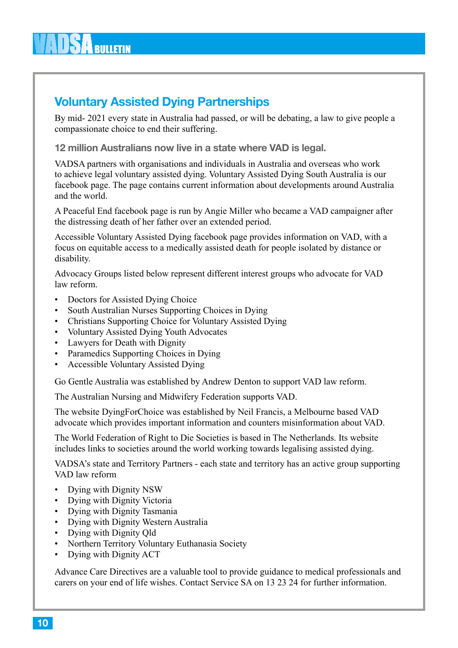# **ADSA BULLETIN**

# Voluntary Assisted Dying Partnerships

By mid- 2021 every state in Australia had passed, or will be debating, a law to give people a compassionate choice to end their suffering.

12 million Australians now live in a state where VAD is legal.

VADSA partners with organisations and individuals in Australia and overseas who work to achieve legal voluntary assisted dying. Voluntary Assisted Dying South Australia is our facebook page. The page contains current information about developments around Australia and the world.

A Peaceful End facebook page is run by Angie Miller who became a VAD campaigner after the distressing death of her father over an extended period.

Accessible Voluntary Assisted Dying facebook page provides information on VAD, with a focus on equitable access to a medically assisted death for people isolated by distance or disability.

Advocacy Groups listed below represent different interest groups who advocate for VAD law reform.

- Doctors for Assisted Dying Choice
- South Australian Nurses Supporting Choices in Dying
- Christians Supporting Choice for Voluntary Assisted Dying
- Voluntary Assisted Dying Youth Advocates
- Lawyers for Death with Dignity
- Paramedics Supporting Choices in Dying
- Accessible Voluntary Assisted Dying

Go Gentle Australia was established by Andrew Denton to support VAD law reform.

The Australian Nursing and Midwifery Federation supports VAD.

The website DyingForChoice was established by Neil Francis, a Melbourne based VAD advocate which provides important information and counters misinformation about VAD.

The World Federation of Right to Die Societies is based in The Netherlands. Its website includes links to societies around the world working towards legalising assisted dying.

VADSA's state and Territory Partners - each state and territory has an active group supporting VAD law reform

- Dying with Dignity NSW
- Dying with Dignity Victoria
- Dying with Dignity Tasmania
- Dying with Dignity Western Australia
- Dying with Dignity Qld
- Northern Territory Voluntary Euthanasia Society
- Dying with Dignity ACT

Advance Care Directives are a valuable tool to provide guidance to medical professionals and carers on your end of life wishes. Contact Service SA on 13 23 24 for further information.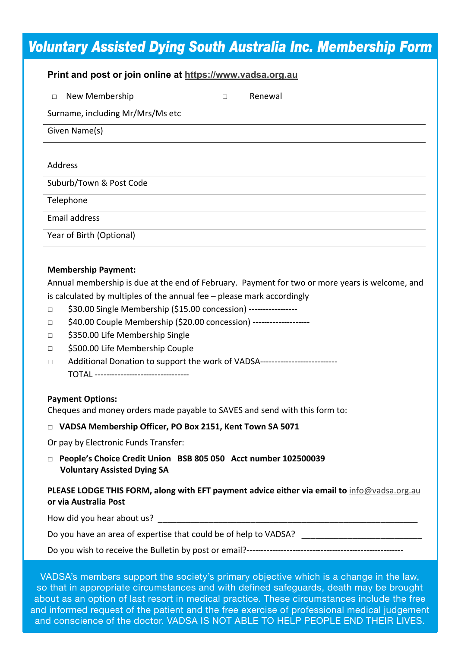# Voluntary Assisted Dying South Australia Inc. Membership Form

### Print and post or join online at **https://www.vadsa.org.au**

| New Membership<br>$\Box$         | $\Box$ | Renewal |
|----------------------------------|--------|---------|
| Surname, including Mr/Mrs/Ms etc |        |         |
| Given Name(s)                    |        |         |
|                                  |        |         |
| Address                          |        |         |
| Suburb/Town & Post Code          |        |         |
| Telephone                        |        |         |
| Email address                    |        |         |
| Year of Birth (Optional)         |        |         |
|                                  |        |         |

#### Membership Payment:

Annual membership is due at the end of February. Payment for two or more years is welcome, and is calculated by multiples of the annual fee – please mark accordingly

- □ \$30.00 Single Membership (\$15.00 concession) -----------------
- □ \$40.00 Couple Membership (\$20.00 concession) --------------------
- □ \$350.00 Life Membership Single
- □ \$500.00 Life Membership Couple
- □ Additional Donation to support the work of VADSA----------------------------TOTAL ---------------------------------

#### Payment Options:

Cheques and money orders made payable to SAVES and send with this form to:

### □ VADSA Membership Officer, PO Box 2151, Kent Town SA 5071

Or pay by Electronic Funds Transfer:

□ People's Choice Credit Union BSB 805 050 Acct number 102500039 Voluntary Assisted Dying SA

### PLEASE LODGE THIS FORM, along with EFT payment advice either via email to info@vadsa.org.au or via Australia Post

How did you hear about us?

Do you have an area of expertise that could be of help to VADSA?

Do you wish to receive the Bulletin by post or email?-------------------------------------------------------

VADSA's members support the society's primary objective which is a change in the law, about a propriate circumstances and with defined safeguards, death may be brought about as an option of last resort in medical practice. These circumstances include the free and informed request of the patient and the free exercise of professional medical judgement  $S_{\rm eff}$  is not able to help  $\sim$  10  $\mu$  m  $\sim$  10  $\mu$  m  $\sim$  10  $\mu$  m  $\sim$  10  $\mu$ and conscience of the doctor. VADSA IS NOT ABLE TO HELP PEOPLE END THEIR LIVES.